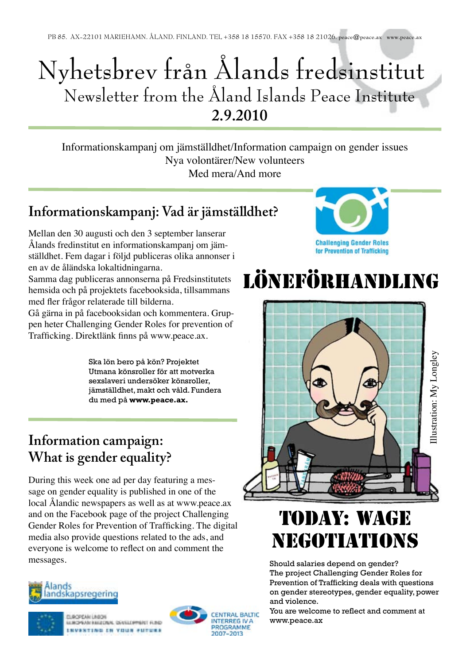## Nyhetsbrev från Ålands fredsinstitut Newsletter from the Åland Islands Peace Institute **2.9.2010**

Informationskampanj om jämställdhet/Information campaign on gender issues Nya volontärer/New volunteers Med mera/And more

#### **Informationskampanj: Vad är jämställdhet?**

Mellan den 30 augusti och den 3 september lanserar Ålands fredinstitut en informationskampanj om jämställdhet. Fem dagar i följd publiceras olika annonser i en av de åländska lokaltidningarna.

Samma dag publiceras annonserna på Fredsinstitutets hemsida och på projektets facebooksida, tillsammans med fler frågor relaterade till bilderna.

Gå gärna in på facebooksidan och kommentera. Gruppen heter Challenging Gender Roles for prevention of Trafficking. Direktlänk finns på www.peace.ax.

> Ska lön bero på kön? Projektet Utmana könsroller för att motverka sexslaveri undersöker könsroller, jämställdhet, makt och våld. Fundera du med på **www.peace.ax.**

#### **Information campaign: What is gender equality?**

During this week one ad per day featuring a message on gender equality is published in one of the local Ålandic newspapers as well as at www.peace.ax and on the Facebook page of the project Challenging Gender Roles for Prevention of Trafficking. The digital media also provide questions related to the ads, and everyone is welcome to reflect on and comment the messages.





**LACPEAN LINERS** LUICHEAN HARDDAN, DENSLOPPART FLIND INVESTING IN YOUR FUTURE





# löneförhandling



## TODAY: WAGE NEGOTIATIONS

Should salaries depend on gender? The project Challenging Gender Roles for Prevention of Trafficking deals with questions on gender stereotypes, gender equality, power and violence.

You are welcome to reflect and comment at www.peace.ax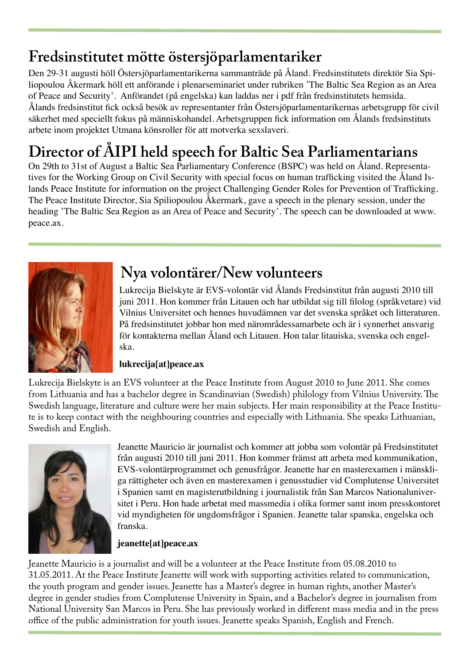### **Fredsinstitutet mötte östersjöparlamentariker**

Den 29-31 augusti höll Östersjöparlamentarikerna sammanträde på Åland. Fredsinstitutets direktör Sia Spiliopoulou Åkermark höll ett anförande i plenarseminariet under rubriken 'The Baltic Sea Region as an Area of Peace and Security'. Anförandet (på engelska) kan laddas ner i pdf från fredsinstitutets hemsida. Ålands fredsinstitut fick också besök av representanter från Östersjöparlamentarikernas arbetsgrupp för civil säkerhet med speciellt fokus på människohandel. Arbetsgruppen fick information om Ålands fredsinstituts arbete inom projektet Utmana könsroller för att motverka sexslaveri.

## **Director of ÅIPI held speech for Baltic Sea Parliamentarians**

On 29th to 31st of August a Baltic Sea Parliamentary Conference (BSPC) was held on Åland. Representatives for the Working Group on Civil Security with special focus on human trafficking visited the Åland Islands Peace Institute for information on the project Challenging Gender Roles for Prevention of Trafficking. The Peace Institute Director, Sia Spiliopoulou Åkermark, gave a speech in the plenary session, under the heading 'The Baltic Sea Region as an Area of Peace and Security'. The speech can be downloaded at www. peace.ax.



#### **Nya volontärer/New volunteers**

Lukrecija Bielskyte är EVS-volontär vid Ålands Fredsinstitut från augusti 2010 till juni 2011. Hon kommer från Litauen och har utbildat sig till filolog (språkvetare) vid Vilnius Universitet och hennes huvudämnen var det svenska språket och litteraturen. På fredsinstitutet jobbar hon med närområdessamarbete och är i synnerhet ansvarig för kontakterna mellan Åland och Litauen. Hon talar litauiska, svenska och engelska.

#### **lukrecija[at]peace.ax**

Lukrecija Bielskyte is an EVS volunteer at the Peace Institute from August 2010 to June 2011. She comes from Lithuania and has a bachelor degree in Scandinavian (Swedish) philology from Vilnius University. The Swedish language, literature and culture were her main subjects. Her main responsibility at the Peace Institute is to keep contact with the neighbouring countries and especially with Lithuania. She speaks Lithuanian, Swedish and English.



Jeanette Mauricio är journalist och kommer att jobba som volontär på Fredsinstitutet från augusti 2010 till juni 2011. Hon kommer främst att arbeta med kommunikation, EVS-volontärprogrammet och genusfrågor. Jeanette har en masterexamen i mänskliga rättigheter och även en masterexamen i genusstudier vid Complutense Universitet i Spanien samt en magisterutbildning i journalistik från San Marcos Nationaluniversitet i Peru. Hon hade arbetat med massmedia i olika former samt inom presskontoret vid myndigheten för ungdomsfrågor i Spanien. Jeanette talar spanska, engelska och franska.

#### **jeanette[at]peace.ax**

Jeanette Mauricio is a journalist and will be a volunteer at the Peace Institute from 05.08.2010 to 31.05.2011. At the Peace Institute Jeanette will work with supporting activities related to communication, the youth program and gender issues. Jeanette has a Master's degree in human rights, another Master's degree in gender studies from Complutense University in Spain, and a Bachelor's degree in journalism from National University San Marcos in Peru. She has previously worked in different mass media and in the press office of the public administration for youth issues. Jeanette speaks Spanish, English and French.